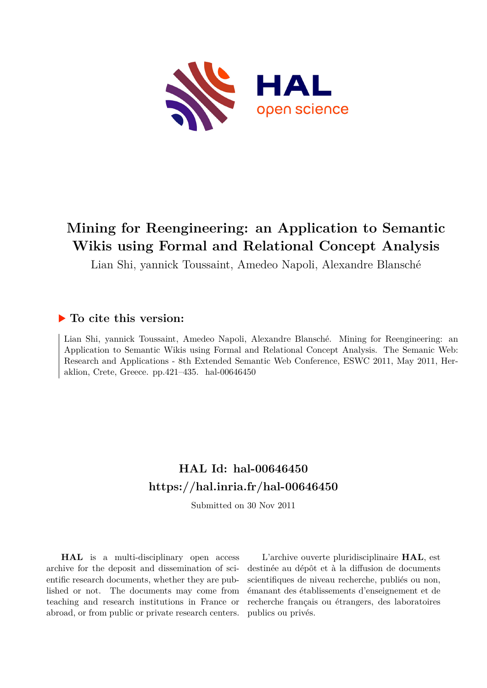

# **Mining for Reengineering: an Application to Semantic Wikis using Formal and Relational Concept Analysis**

Lian Shi, yannick Toussaint, Amedeo Napoli, Alexandre Blansché

## **To cite this version:**

Lian Shi, yannick Toussaint, Amedeo Napoli, Alexandre Blansché. Mining for Reengineering: an Application to Semantic Wikis using Formal and Relational Concept Analysis. The Semanic Web: Research and Applications - 8th Extended Semantic Web Conference, ESWC 2011, May 2011, Heraklion, Crete, Greece. pp.421-435. hal-00646450

# **HAL Id: hal-00646450 <https://hal.inria.fr/hal-00646450>**

Submitted on 30 Nov 2011

**HAL** is a multi-disciplinary open access archive for the deposit and dissemination of scientific research documents, whether they are published or not. The documents may come from teaching and research institutions in France or abroad, or from public or private research centers.

L'archive ouverte pluridisciplinaire **HAL**, est destinée au dépôt et à la diffusion de documents scientifiques de niveau recherche, publiés ou non, émanant des établissements d'enseignement et de recherche français ou étrangers, des laboratoires publics ou privés.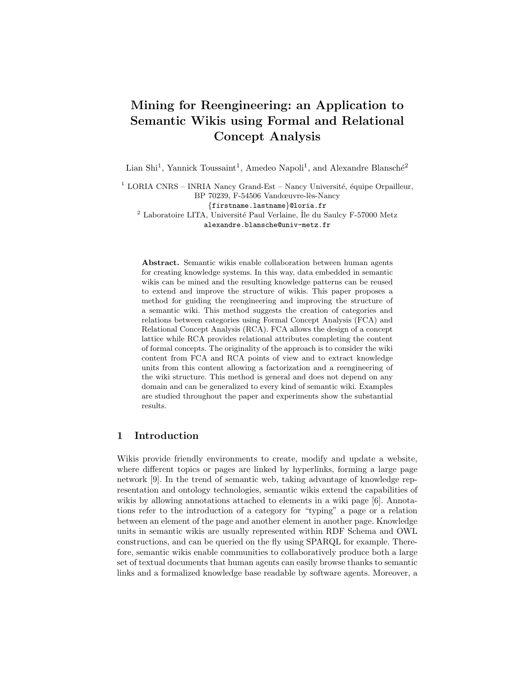# Mining for Reengineering: an Application to Semantic Wikis using Formal and Relational Concept Analysis

Lian Shi<sup>1</sup>, Yannick Toussaint<sup>1</sup>, Amedeo Napoli<sup>1</sup>, and Alexandre Blansché<sup>2</sup>

 $1$  LORIA CNRS – INRIA Nancy Grand-Est – Nancy Université, équipe Orpailleur, BP 70239, F-54506 Vandœuvre-lès-Nancy {firstname.lastname}@loria.fr

 $^2$  Laboratoire LITA, Université Paul Verlaine, Île du Saulcy F-57000 Metz alexandre.blansche@univ-metz.fr

Abstract. Semantic wikis enable collaboration between human agents for creating knowledge systems. In this way, data embedded in semantic wikis can be mined and the resulting knowledge patterns can be reused to extend and improve the structure of wikis. This paper proposes a method for guiding the reengineering and improving the structure of a semantic wiki. This method suggests the creation of categories and relations between categories using Formal Concept Analysis (FCA) and Relational Concept Analysis (RCA). FCA allows the design of a concept lattice while RCA provides relational attributes completing the content of formal concepts. The originality of the approach is to consider the wiki content from FCA and RCA points of view and to extract knowledge units from this content allowing a factorization and a reengineering of the wiki structure. This method is general and does not depend on any domain and can be generalized to every kind of semantic wiki. Examples are studied throughout the paper and experiments show the substantial results.

#### 1 Introduction

Wikis provide friendly environments to create, modify and update a website, where different topics or pages are linked by hyperlinks, forming a large page network [9]. In the trend of semantic web, taking advantage of knowledge representation and ontology technologies, semantic wikis extend the capabilities of wikis by allowing annotations attached to elements in a wiki page [6]. Annotations refer to the introduction of a category for "typing" a page or a relation between an element of the page and another element in another page. Knowledge units in semantic wikis are usually represented within RDF Schema and OWL constructions, and can be queried on the fly using SPARQL for example. Therefore, semantic wikis enable communities to collaboratively produce both a large set of textual documents that human agents can easily browse thanks to semantic links and a formalized knowledge base readable by software agents. Moreover, a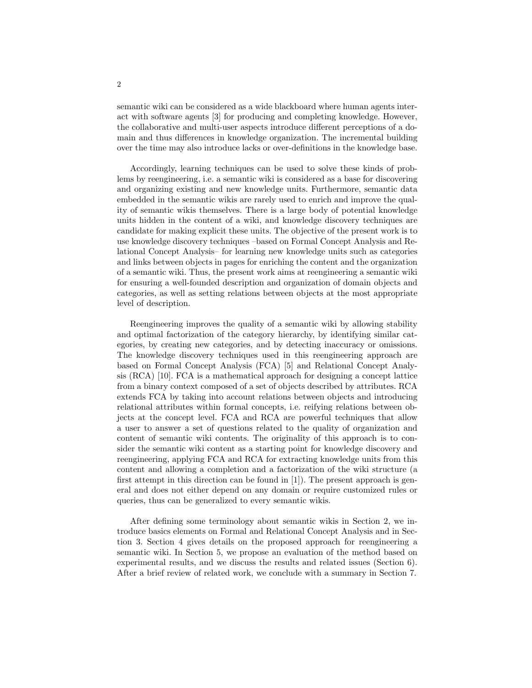semantic wiki can be considered as a wide blackboard where human agents interact with software agents [3] for producing and completing knowledge. However, the collaborative and multi-user aspects introduce different perceptions of a domain and thus differences in knowledge organization. The incremental building over the time may also introduce lacks or over-definitions in the knowledge base.

Accordingly, learning techniques can be used to solve these kinds of problems by reengineering, i.e. a semantic wiki is considered as a base for discovering and organizing existing and new knowledge units. Furthermore, semantic data embedded in the semantic wikis are rarely used to enrich and improve the quality of semantic wikis themselves. There is a large body of potential knowledge units hidden in the content of a wiki, and knowledge discovery techniques are candidate for making explicit these units. The objective of the present work is to use knowledge discovery techniques –based on Formal Concept Analysis and Relational Concept Analysis– for learning new knowledge units such as categories and links between objects in pages for enriching the content and the organization of a semantic wiki. Thus, the present work aims at reengineering a semantic wiki for ensuring a well-founded description and organization of domain objects and categories, as well as setting relations between objects at the most appropriate level of description.

Reengineering improves the quality of a semantic wiki by allowing stability and optimal factorization of the category hierarchy, by identifying similar categories, by creating new categories, and by detecting inaccuracy or omissions. The knowledge discovery techniques used in this reengineering approach are based on Formal Concept Analysis (FCA) [5] and Relational Concept Analysis (RCA) [10]. FCA is a mathematical approach for designing a concept lattice from a binary context composed of a set of objects described by attributes. RCA extends FCA by taking into account relations between objects and introducing relational attributes within formal concepts, i.e. reifying relations between objects at the concept level. FCA and RCA are powerful techniques that allow a user to answer a set of questions related to the quality of organization and content of semantic wiki contents. The originality of this approach is to consider the semantic wiki content as a starting point for knowledge discovery and reengineering, applying FCA and RCA for extracting knowledge units from this content and allowing a completion and a factorization of the wiki structure (a first attempt in this direction can be found in [1]). The present approach is general and does not either depend on any domain or require customized rules or queries, thus can be generalized to every semantic wikis.

After defining some terminology about semantic wikis in Section 2, we introduce basics elements on Formal and Relational Concept Analysis and in Section 3. Section 4 gives details on the proposed approach for reengineering a semantic wiki. In Section 5, we propose an evaluation of the method based on experimental results, and we discuss the results and related issues (Section 6). After a brief review of related work, we conclude with a summary in Section 7.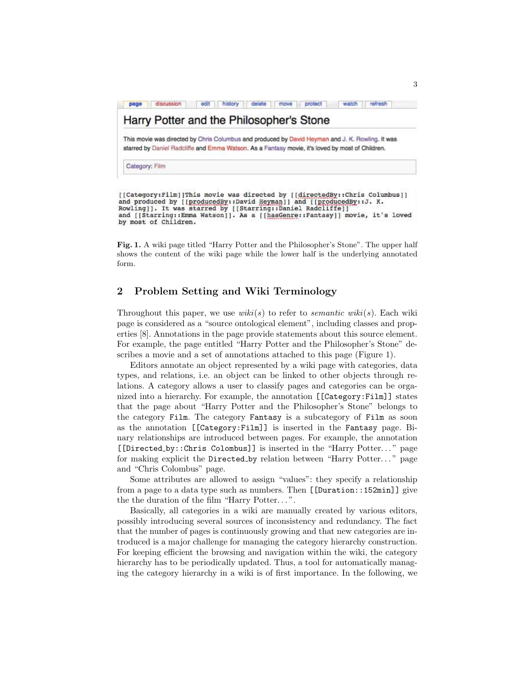

3

and [[Starring::Emma Watson]]. As a [[hasGenre::Fantasy]] movie, it's loved by most of Children.

Fig. 1. A wiki page titled "Harry Potter and the Philosopher's Stone". The upper half shows the content of the wiki page while the lower half is the underlying annotated form.

### 2 Problem Setting and Wiki Terminology

Throughout this paper, we use *wiki*(*s*) to refer to *semantic wiki*(*s*). Each wiki page is considered as a "source ontological element", including classes and properties [8]. Annotations in the page provide statements about this source element. For example, the page entitled "Harry Potter and the Philosopher's Stone" describes a movie and a set of annotations attached to this page (Figure 1).

Editors annotate an object represented by a wiki page with categories, data types, and relations, i.e. an object can be linked to other objects through relations. A category allows a user to classify pages and categories can be organized into a hierarchy. For example, the annotation [[Category:Film]] states that the page about "Harry Potter and the Philosopher's Stone" belongs to the category Film. The category Fantasy is a subcategory of Film as soon as the annotation [[Category:Film]] is inserted in the Fantasy page. Binary relationships are introduced between pages. For example, the annotation [[Directed\_by::Chris Colombus]] is inserted in the "Harry Potter..." page for making explicit the Directed by relation between "Harry Potter..." page and "Chris Colombus" page.

Some attributes are allowed to assign "values": they specify a relationship from a page to a data type such as numbers. Then [[Duration::152min]] give the the duration of the film "Harry Potter. . . ".

Basically, all categories in a wiki are manually created by various editors, possibly introducing several sources of inconsistency and redundancy. The fact that the number of pages is continuously growing and that new categories are introduced is a major challenge for managing the category hierarchy construction. For keeping efficient the browsing and navigation within the wiki, the category hierarchy has to be periodically updated. Thus, a tool for automatically managing the category hierarchy in a wiki is of first importance. In the following, we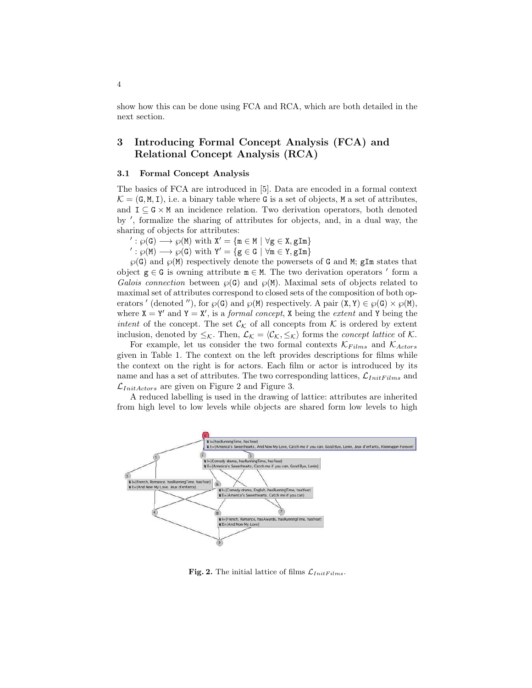show how this can be done using FCA and RCA, which are both detailed in the next section.

## 3 Introducing Formal Concept Analysis (FCA) and Relational Concept Analysis (RCA)

#### 3.1 Formal Concept Analysis

The basics of FCA are introduced in [5]. Data are encoded in a formal context  $\mathcal{K} = (\mathbf{G}, \mathbf{M}, \mathbf{I})$ , i.e. a binary table where G is a set of objects, M a set of attributes, and  $I \subseteq G \times M$  an incidence relation. Two derivation operators, both denoted by ′ , formalize the sharing of attributes for objects, and, in a dual way, the sharing of objects for attributes:

 $\mathcal{O}' : \wp(G) \longrightarrow \wp(M)$  with  $X' = \{ m \in M \mid \forall g \in X, g \in \mathbb{N} \}$ 

 $\mathcal{O}' : \wp(M) \longrightarrow \wp(G)$  with  $Y' = \{ g \in G \mid \forall m \in Y, g \mathbb{I} \mathbb{m} \}$ 

 $\wp(G)$  and  $\wp(M)$  respectively denote the powersets of G and M; gIm states that object  $g \in G$  is owning attribute  $m \in M$ . The two derivation operators ' form a *Galois connection* between  $\wp(G)$  and  $\wp(M)$ . Maximal sets of objects related to maximal set of attributes correspond to closed sets of the composition of both operators' (denoted ''), for  $\wp(G)$  and  $\wp(M)$  respectively. A pair  $(X, Y) \in \wp(G) \times \wp(M)$ , where  $X = Y'$  and  $Y = X'$ , is a *formal concept*, X being the *extent* and Y being the *intent* of the concept. The set  $\mathcal{C}_{\mathcal{K}}$  of all concepts from  $\mathcal{K}$  is ordered by extent inclusion, denoted by  $\leq_{\mathcal{K}}$ . Then,  $\mathcal{L}_{\mathcal{K}} = \langle \mathcal{C}_{\mathcal{K}}, \leq_{\mathcal{K}} \rangle$  forms the *concept lattice* of  $\mathcal{K}$ .

For example, let us consider the two formal contexts  $\mathcal{K}_{Films}$  and  $\mathcal{K}_{Actors}$ given in Table 1. The context on the left provides descriptions for films while the context on the right is for actors. Each film or actor is introduced by its name and has a set of attributes. The two corresponding lattices,  $\mathcal{L}_{Init Films}$  and  $\mathcal{L}_{InitActors}$  are given on Figure 2 and Figure 3.

A reduced labelling is used in the drawing of lattice: attributes are inherited from high level to low levels while objects are shared form low levels to high



Fig. 2. The initial lattice of films  $\mathcal{L}_{InitFlims}$ .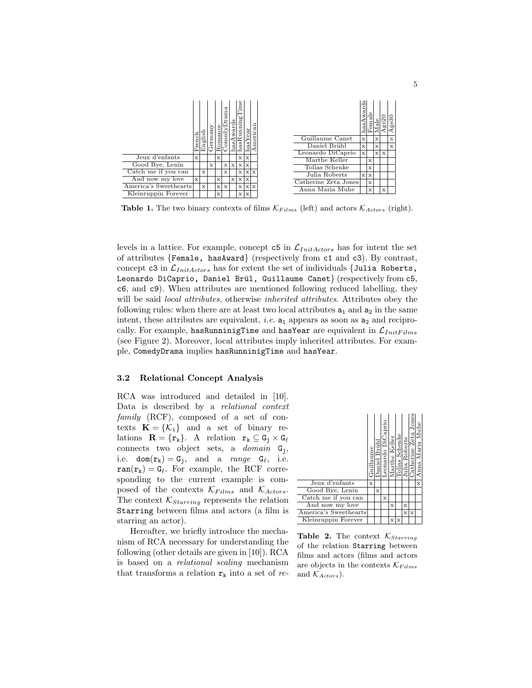

Table 1. The two binary contexts of films  $\mathcal{K}_{Films}$  (left) and actors  $\mathcal{K}_{Actors}$  (right).

levels in a lattice. For example, concept  $c5$  in  $\mathcal{L}_{Initactors}$  has for intent the set of attributes {Female, hasAward} (respectively from c1 and c3). By contrast, concept c3 in  $\mathcal{L}_{InitActors}$  has for extent the set of individuals {Julia Roberts, Leonardo DiCaprio, Daniel Brül, Guillaume Canet} (respectively from c5, c6, and c9). When attributes are mentioned following reduced labelling, they will be said *local attributes*, otherwise *inherited attributes*. Attributes obey the following rules: when there are at least two local attributes  $a_1$  and  $a_2$  in the same intent, these attributes are equivalent, *i.e.*  $a_1$  appears as soon as  $a_2$  and reciprocally. For example, hasRunninigTime and hasYear are equivalent in  $\mathcal{L}_{Init Films}$ (see Figure 2). Moreover, local attributes imply inherited attributes. For example, ComedyDrama implies hasRunninigTime and hasYear.

#### 3.2 Relational Concept Analysis

RCA was introduced and detailed in [10]. Data is described by a *relational context family* (RCF), composed of a set of contexts  $\mathbf{K} = \{ \mathcal{K}_i \}$  and a set of binary relations  $\mathbf{R} = {\mathbf{r}_k}$ . A relation  $\mathbf{r}_k \subseteq \mathbf{G}_j \times \mathbf{G}_\ell$ connects two object sets, a *domain* Gj, i.e.  $\text{dom}(\mathbf{r}_k) = \mathbf{G}_i$ , and a *range*  $\mathbf{G}_\ell$ , i.e.  $ran(r_k) = G_\ell$ . For example, the RCF corresponding to the current example is composed of the contexts  $\mathcal{K}_{Films}$  and  $\mathcal{K}_{Actors}$ . The context  $\mathcal{K}_{Starting}$  represents the relation Starring between films and actors (a film is starring an actor).

Hereafter, we briefly introduce the mechanism of RCA necessary for understanding the following (other details are given in [10]). RCA is based on a *relational scaling* mechanism that transforms a relation  $r_k$  into a set of *re*-

|                       | Guillaume   | Daniel Brüh | Leonardo DiCaprio | Marthe Keller | Tolias Schenke | Julia Roberts | Catherine Zeta Jones | Anna Maria Muhe |
|-----------------------|-------------|-------------|-------------------|---------------|----------------|---------------|----------------------|-----------------|
| Jeux d'enfants        | $\mathbf x$ |             |                   |               |                |               |                      | x               |
| Good Bye, Lenin       |             | $\mathbf x$ |                   |               |                |               |                      |                 |
| Catch me if you can   |             |             | $\mathbf x$       |               |                |               |                      |                 |
| And now my love       |             |             |                   | х             |                | х             |                      |                 |
| America's Sweethearts |             |             |                   |               |                | $\mathbf x$   | х                    |                 |
| Kleinruppin Forever   |             |             |                   | х             | $\mathbf x$    |               |                      |                 |

**Table 2.** The context  $\mathcal{K}_{Staring}$ of the relation Starring between films and actors (films and actors are objects in the contexts  $\mathcal{K}_{Films}$ and  $\mathcal{K}_{Actors}$ ).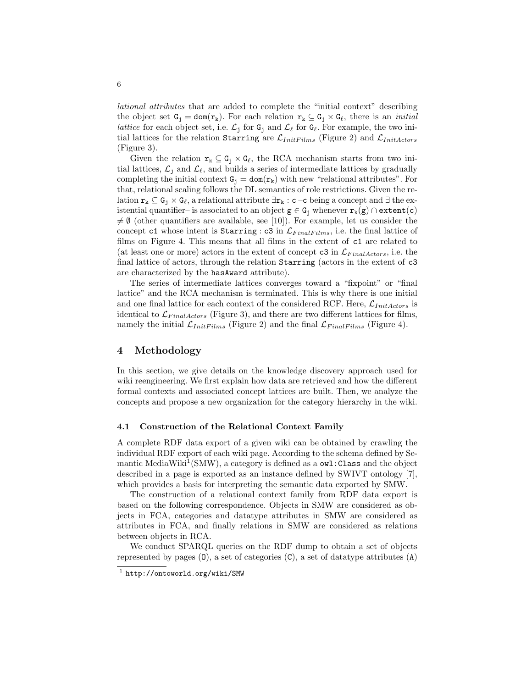*lational attributes* that are added to complete the "initial context" describing the object set  $G_j = dom(r_k)$ . For each relation  $r_k \subseteq G_j \times G_\ell$ , there is an *initial lattice* for each object set, i.e.  $\mathcal{L}_j$  for  $G_j$  and  $\mathcal{L}_\ell$  for  $G_\ell$ . For example, the two initial lattices for the relation Starring are  $\mathcal{L}_{InitFlims}$  (Figure 2) and  $\mathcal{L}_{InitActors}$ (Figure 3).

Given the relation  $r_k \subseteq G_i \times G_\ell$ , the RCA mechanism starts from two initial lattices,  $\mathcal{L}_1$  and  $\mathcal{L}_{\ell}$ , and builds a series of intermediate lattices by gradually completing the initial context  $G_i = dom(r_k)$  with new "relational attributes". For that, relational scaling follows the DL semantics of role restrictions. Given the relation  $\mathbf{r}_k \subseteq \mathbf{G}_j \times \mathbf{G}_\ell$ , a relational attribute  $\exists \mathbf{r}_k : c - c$  being a concept and  $\exists$  the existential quantifier– is associated to an object  $g \in G_i$  whenever  $r_k(g) \cap \text{extent}(c)$  $\neq \emptyset$  (other quantifiers are available, see [10]). For example, let us consider the concept c1 whose intent is Starring : c3 in  $\mathcal{L}_{Final Films}$ , i.e. the final lattice of films on Figure 4. This means that all films in the extent of c1 are related to (at least one or more) actors in the extent of concept c3 in  $\mathcal{L}_{Finalactors}$ , i.e. the final lattice of actors, through the relation Starring (actors in the extent of c3 are characterized by the hasAward attribute).

The series of intermediate lattices converges toward a "fixpoint" or "final lattice" and the RCA mechanism is terminated. This is why there is one initial and one final lattice for each context of the considered RCF. Here,  $\mathcal{L}_{InitActors}$  is identical to  $\mathcal{L}_{Finalactors}$  (Figure 3), and there are two different lattices for films, namely the initial  $\mathcal{L}_{InitFlms}$  (Figure 2) and the final  $\mathcal{L}_{Final Films}$  (Figure 4).

#### 4 Methodology

In this section, we give details on the knowledge discovery approach used for wiki reengineering. We first explain how data are retrieved and how the different formal contexts and associated concept lattices are built. Then, we analyze the concepts and propose a new organization for the category hierarchy in the wiki.

#### 4.1 Construction of the Relational Context Family

A complete RDF data export of a given wiki can be obtained by crawling the individual RDF export of each wiki page. According to the schema defined by Semantic MediaWiki<sup>1</sup>(SMW), a category is defined as a  $\texttt{owl:Class}$  and the object described in a page is exported as an instance defined by SWIVT ontology [7], which provides a basis for interpreting the semantic data exported by SMW.

The construction of a relational context family from RDF data export is based on the following correspondence. Objects in SMW are considered as objects in FCA, categories and datatype attributes in SMW are considered as attributes in FCA, and finally relations in SMW are considered as relations between objects in RCA.

We conduct SPARQL queries on the RDF dump to obtain a set of objects represented by pages  $(0)$ , a set of categories  $(C)$ , a set of datatype attributes  $(A)$ 

<sup>&</sup>lt;sup>1</sup> http://ontoworld.org/wiki/SMW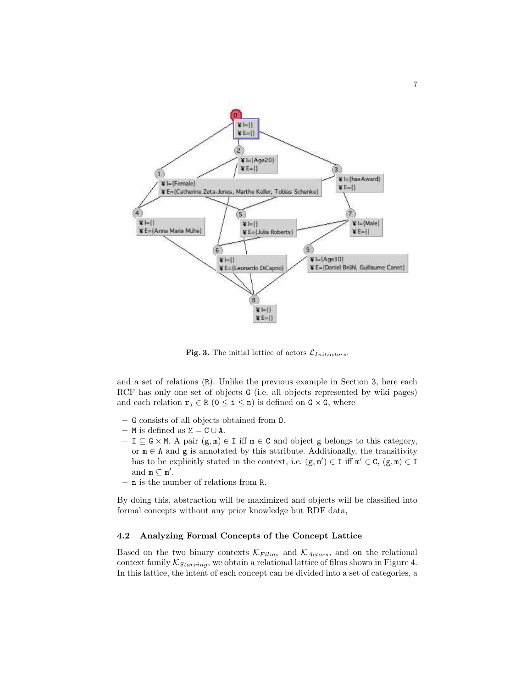

Fig. 3. The initial lattice of actors  $\mathcal{L}_{InitActors}$ .

and a set of relations (R). Unlike the previous example in Section 3, here each RCF has only one set of objects G (i.e. all objects represented by wiki pages) and each relation  $r_i \in R$  ( $0 \le i \le n$ ) is defined on  $G \times G$ , where

- G consists of all objects obtained from O.
- M is defined as  $M = C \cup A$ .
- I ⊆ G × M. A pair (g, m) ∈ I iff m ∈ C and object g belongs to this category, or  $m \in A$  and g is annotated by this attribute. Additionally, the transitivity has to be explicitly stated in the context, i.e.  $(g, m') \in I$  iff  $m' \in C$ ,  $(g, m) \in I$ and  $m \subseteq m'$ .
- n is the number of relations from R.

By doing this, abstraction will be maximized and objects will be classified into formal concepts without any prior knowledge but RDF data,

#### 4.2 Analyzing Formal Concepts of the Concept Lattice

Based on the two binary contexts  $\mathcal{K}_{Films}$  and  $\mathcal{K}_{Actors}$ , and on the relational context family  $\mathcal{K}_{Starting}$ , we obtain a relational lattice of films shown in Figure 4. In this lattice, the intent of each concept can be divided into a set of categories, a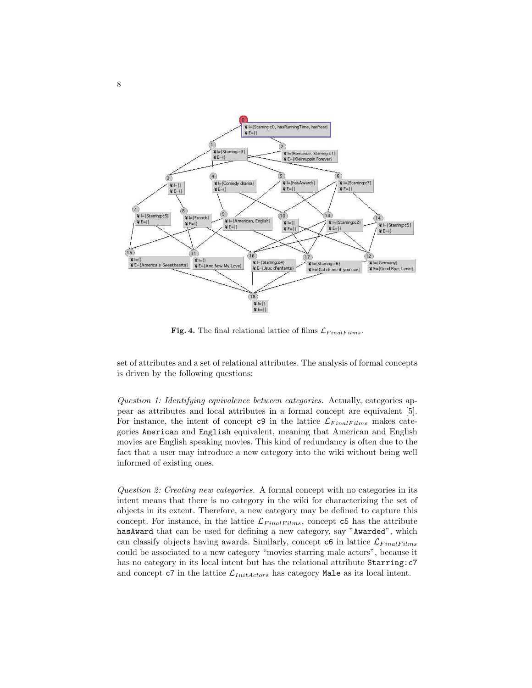

Fig. 4. The final relational lattice of films  $\mathcal{L}_{Final Films}$ .

set of attributes and a set of relational attributes. The analysis of formal concepts is driven by the following questions:

*Question 1: Identifying equivalence between categories.* Actually, categories appear as attributes and local attributes in a formal concept are equivalent [5]. For instance, the intent of concept c9 in the lattice  $\mathcal{L}_{Final Films}$  makes categories American and English equivalent, meaning that American and English movies are English speaking movies. This kind of redundancy is often due to the fact that a user may introduce a new category into the wiki without being well informed of existing ones.

*Question 2: Creating new categories.* A formal concept with no categories in its intent means that there is no category in the wiki for characterizing the set of objects in its extent. Therefore, a new category may be defined to capture this concept. For instance, in the lattice  $\mathcal{L}_{Final Films}$ , concept c5 has the attribute hasAward that can be used for defining a new category, say "Awarded", which can classify objects having awards. Similarly, concept  $c6$  in lattice  $\mathcal{L}_{Final Films}$ could be associated to a new category "movies starring male actors", because it has no category in its local intent but has the relational attribute Starring:c7 and concept  $c7$  in the lattice  $\mathcal{L}_{InitActors}$  has category Male as its local intent.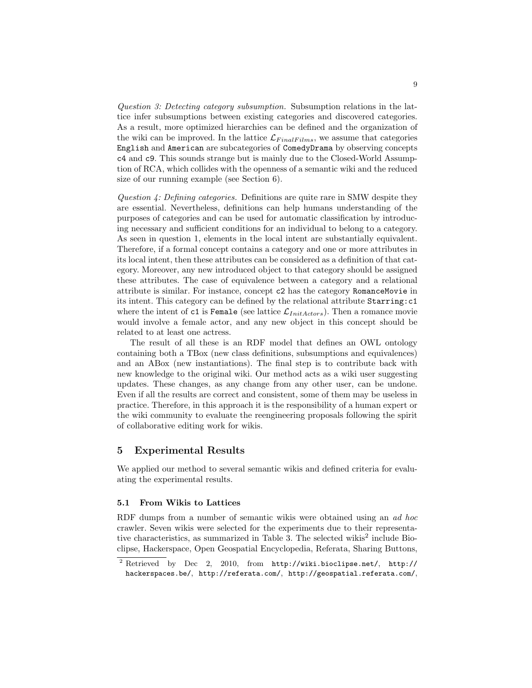*Question 3: Detecting category subsumption.* Subsumption relations in the lattice infer subsumptions between existing categories and discovered categories. As a result, more optimized hierarchies can be defined and the organization of the wiki can be improved. In the lattice  $\mathcal{L}_{Final Films}$ , we assume that categories English and American are subcategories of ComedyDrama by observing concepts c4 and c9. This sounds strange but is mainly due to the Closed-World Assumption of RCA, which collides with the openness of a semantic wiki and the reduced size of our running example (see Section 6).

*Question 4: Defining categories.* Definitions are quite rare in SMW despite they are essential. Nevertheless, definitions can help humans understanding of the purposes of categories and can be used for automatic classification by introducing necessary and sufficient conditions for an individual to belong to a category. As seen in question 1, elements in the local intent are substantially equivalent. Therefore, if a formal concept contains a category and one or more attributes in its local intent, then these attributes can be considered as a definition of that category. Moreover, any new introduced object to that category should be assigned these attributes. The case of equivalence between a category and a relational attribute is similar. For instance, concept c2 has the category RomanceMovie in its intent. This category can be defined by the relational attribute Starring:c1 where the intent of c1 is Female (see lattice  $\mathcal{L}_{InitActors}$ ). Then a romance movie would involve a female actor, and any new object in this concept should be related to at least one actress.

The result of all these is an RDF model that defines an OWL ontology containing both a TBox (new class definitions, subsumptions and equivalences) and an ABox (new instantiations). The final step is to contribute back with new knowledge to the original wiki. Our method acts as a wiki user suggesting updates. These changes, as any change from any other user, can be undone. Even if all the results are correct and consistent, some of them may be useless in practice. Therefore, in this approach it is the responsibility of a human expert or the wiki community to evaluate the reengineering proposals following the spirit of collaborative editing work for wikis.

#### 5 Experimental Results

We applied our method to several semantic wikis and defined criteria for evaluating the experimental results.

#### 5.1 From Wikis to Lattices

RDF dumps from a number of semantic wikis were obtained using an *ad hoc* crawler. Seven wikis were selected for the experiments due to their representative characteristics, as summarized in Table 3. The selected wikis<sup>2</sup> include Bioclipse, Hackerspace, Open Geospatial Encyclopedia, Referata, Sharing Buttons,

<sup>2</sup> Retrieved by Dec 2, 2010, from http://wiki.bioclipse.net/, http:// hackerspaces.be/, http://referata.com/, http://geospatial.referata.com/,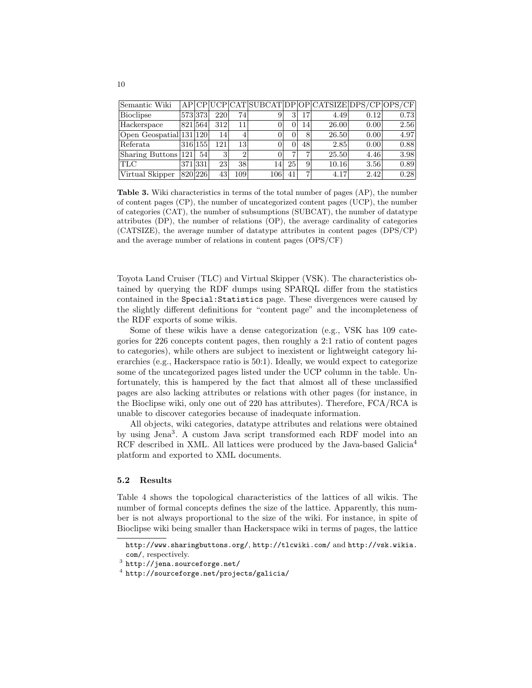| Semantic Wiki             |         |         |     |                 |         |    |    | AP CP UCP CAT SUBCAT DP OP CATSIZE DPS/CP OPS/CF |      |      |
|---------------------------|---------|---------|-----|-----------------|---------|----|----|--------------------------------------------------|------|------|
| <b>Bioclipse</b>          |         | 573 373 | 220 | 74 <sub>1</sub> |         | 3  | 17 | 4.49                                             | 0.12 | 0.73 |
| Hackerspace               |         | 821 564 | 312 | 11              |         | 0  | 14 | 26.00                                            | 0.00 | 2.56 |
| Open Geospatial 131   120 |         |         | 14  |                 |         | 0  | 8  | 26.50                                            | 0.00 | 4.97 |
| Referata                  | 316 155 |         | 121 | 13 <sup>1</sup> |         | 0  | 48 | 2.85                                             | 0.00 | 0.88 |
| Sharing Buttons 121       |         | 54      | 3   | $\overline{2}$  |         |    |    | 25.50                                            | 4.46 | 3.98 |
| <b>TLC</b>                |         | 371 331 | 23  | 38              | 14      | 25 | 9  | 10.16                                            | 3.56 | 0.89 |
| Virtual Skipper           |         | 820 226 | 43  | 109             | $106\,$ | 41 |    | 4.17                                             | 2.42 | 0.28 |

Table 3. Wiki characteristics in terms of the total number of pages (AP), the number of content pages (CP), the number of uncategorized content pages (UCP), the number of categories (CAT), the number of subsumptions (SUBCAT), the number of datatype attributes (DP), the number of relations (OP), the average cardinality of categories (CATSIZE), the average number of datatype attributes in content pages (DPS/CP) and the average number of relations in content pages (OPS/CF)

Toyota Land Cruiser (TLC) and Virtual Skipper (VSK). The characteristics obtained by querying the RDF dumps using SPARQL differ from the statistics contained in the Special:Statistics page. These divergences were caused by the slightly different definitions for "content page" and the incompleteness of the RDF exports of some wikis.

Some of these wikis have a dense categorization (e.g., VSK has 109 categories for 226 concepts content pages, then roughly a 2:1 ratio of content pages to categories), while others are subject to inexistent or lightweight category hierarchies (e.g., Hackerspace ratio is 50:1). Ideally, we would expect to categorize some of the uncategorized pages listed under the UCP column in the table. Unfortunately, this is hampered by the fact that almost all of these unclassified pages are also lacking attributes or relations with other pages (for instance, in the Bioclipse wiki, only one out of 220 has attributes). Therefore, FCA/RCA is unable to discover categories because of inadequate information.

All objects, wiki categories, datatype attributes and relations were obtained by using Jena<sup>3</sup> . A custom Java script transformed each RDF model into an RCF described in XML. All lattices were produced by the Java-based Galicia<sup>4</sup> platform and exported to XML documents.

#### 5.2 Results

Table 4 shows the topological characteristics of the lattices of all wikis. The number of formal concepts defines the size of the lattice. Apparently, this number is not always proportional to the size of the wiki. For instance, in spite of Bioclipse wiki being smaller than Hackerspace wiki in terms of pages, the lattice

http://www.sharingbuttons.org/, http://tlcwiki.com/ and http://vsk.wikia.

com/, respectively.

<sup>3</sup> http://jena.sourceforge.net/

<sup>4</sup> http://sourceforge.net/projects/galicia/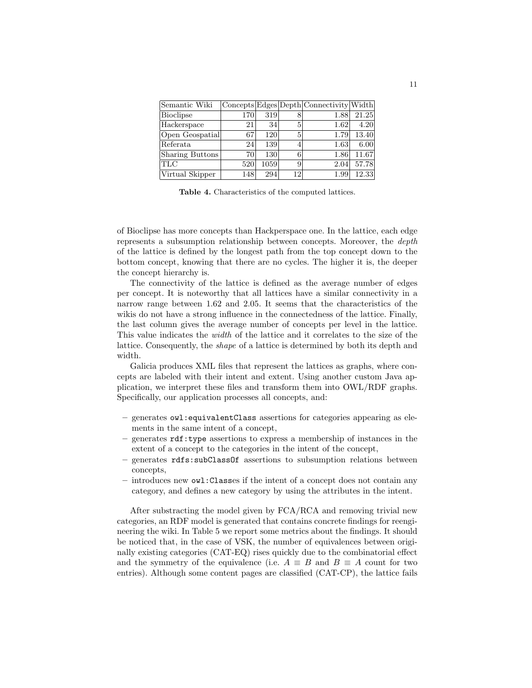| Semantic Wiki   |     |                 |    | Concepts Edges Depth Connectivity Width |       |
|-----------------|-----|-----------------|----|-----------------------------------------|-------|
| Bioclipse       | 170 | 319             | 8  | 1.88                                    | 21.25 |
| Hackerspace     | 21  | 34 <sup>1</sup> | 5  | 1.62                                    | 4.20  |
| Open Geospatial | 67  | 120             | 5  | 1.79                                    | 13.40 |
| Referata        | 24  | 139             | 4  | 1.63                                    | 6.00  |
| Sharing Buttons | 70  | 130             | 6  | 1.86                                    | 11.67 |
| $ {\rm TLC}$    | 520 | 1059            | 9  | 2.04                                    | 57.78 |
| Virtual Skipper | 148 | 294             | 12 | 1.99                                    | 12.33 |

Table 4. Characteristics of the computed lattices.

of Bioclipse has more concepts than Hackperspace one. In the lattice, each edge represents a subsumption relationship between concepts. Moreover, the *depth* of the lattice is defined by the longest path from the top concept down to the bottom concept, knowing that there are no cycles. The higher it is, the deeper the concept hierarchy is.

The connectivity of the lattice is defined as the average number of edges per concept. It is noteworthy that all lattices have a similar connectivity in a narrow range between 1.62 and 2.05. It seems that the characteristics of the wikis do not have a strong influence in the connectedness of the lattice. Finally, the last column gives the average number of concepts per level in the lattice. This value indicates the *width* of the lattice and it correlates to the size of the lattice. Consequently, the *shape* of a lattice is determined by both its depth and width.

Galicia produces XML files that represent the lattices as graphs, where concepts are labeled with their intent and extent. Using another custom Java application, we interpret these files and transform them into OWL/RDF graphs. Specifically, our application processes all concepts, and:

- generates owl:equivalentClass assertions for categories appearing as elements in the same intent of a concept,
- generates rdf:type assertions to express a membership of instances in the extent of a concept to the categories in the intent of the concept,
- generates rdfs:subClassOf assertions to subsumption relations between concepts,
- introduces new owl:Classes if the intent of a concept does not contain any category, and defines a new category by using the attributes in the intent.

After substracting the model given by FCA/RCA and removing trivial new categories, an RDF model is generated that contains concrete findings for reengineering the wiki. In Table 5 we report some metrics about the findings. It should be noticed that, in the case of VSK, the number of equivalences between originally existing categories (CAT-EQ) rises quickly due to the combinatorial effect and the symmetry of the equivalence (i.e.  $A \equiv B$  and  $B \equiv A$  count for two entries). Although some content pages are classified (CAT-CP), the lattice fails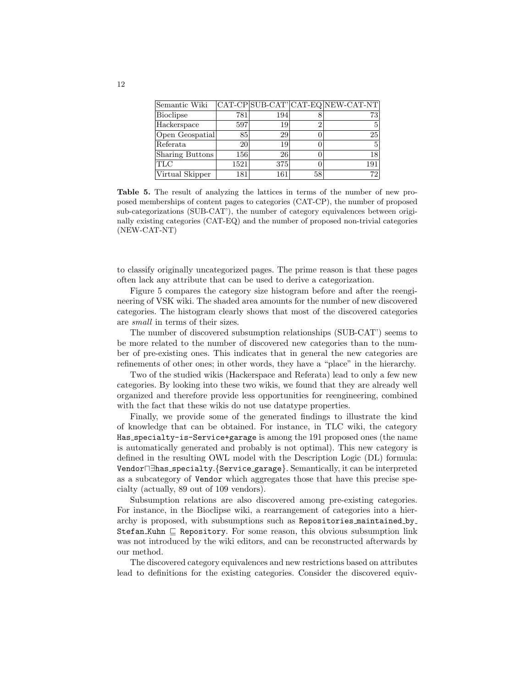| Semantic Wiki          |      |     |    | CAT-CP SUB-CAT' CAT-EQ NEW-CAT-NT |
|------------------------|------|-----|----|-----------------------------------|
| <b>Bioclipse</b>       | 781  | 194 |    | 73                                |
| Hackerspace            | 597  | 19  |    |                                   |
| Open Geospatial        | 85   | 29  |    | 25                                |
| Referata               | 20   | 19  |    |                                   |
| <b>Sharing Buttons</b> | 156  | 26  |    | 18                                |
| $ {\rm TLC}$           | 1521 | 375 |    | 191                               |
| Virtual Skipper        | 181  | 161 | 58 | 72 <sub>1</sub>                   |

Table 5. The result of analyzing the lattices in terms of the number of new proposed memberships of content pages to categories (CAT-CP), the number of proposed sub-categorizations (SUB-CAT'), the number of category equivalences between originally existing categories (CAT-EQ) and the number of proposed non-trivial categories (NEW-CAT-NT)

to classify originally uncategorized pages. The prime reason is that these pages often lack any attribute that can be used to derive a categorization.

Figure 5 compares the category size histogram before and after the reengineering of VSK wiki. The shaded area amounts for the number of new discovered categories. The histogram clearly shows that most of the discovered categories are *small* in terms of their sizes.

The number of discovered subsumption relationships (SUB-CAT') seems to be more related to the number of discovered new categories than to the number of pre-existing ones. This indicates that in general the new categories are refinements of other ones; in other words, they have a "place" in the hierarchy.

Two of the studied wikis (Hackerspace and Referata) lead to only a few new categories. By looking into these two wikis, we found that they are already well organized and therefore provide less opportunities for reengineering, combined with the fact that these wikis do not use datatype properties.

Finally, we provide some of the generated findings to illustrate the kind of knowledge that can be obtained. For instance, in TLC wiki, the category Has specialty-is-Service+garage is among the 191 proposed ones (the name is automatically generated and probably is not optimal). This new category is defined in the resulting OWL model with the Description Logic (DL) formula: Vendor⊓∃has specialty.{Service garage}. Semantically, it can be interpreted as a subcategory of Vendor which aggregates those that have this precise specialty (actually, 89 out of 109 vendors).

Subsumption relations are also discovered among pre-existing categories. For instance, in the Bioclipse wiki, a rearrangement of categories into a hierarchy is proposed, with subsumptions such as Repositories maintained by Stefan Kuhn ⊑ Repository. For some reason, this obvious subsumption link was not introduced by the wiki editors, and can be reconstructed afterwards by our method.

The discovered category equivalences and new restrictions based on attributes lead to definitions for the existing categories. Consider the discovered equiv-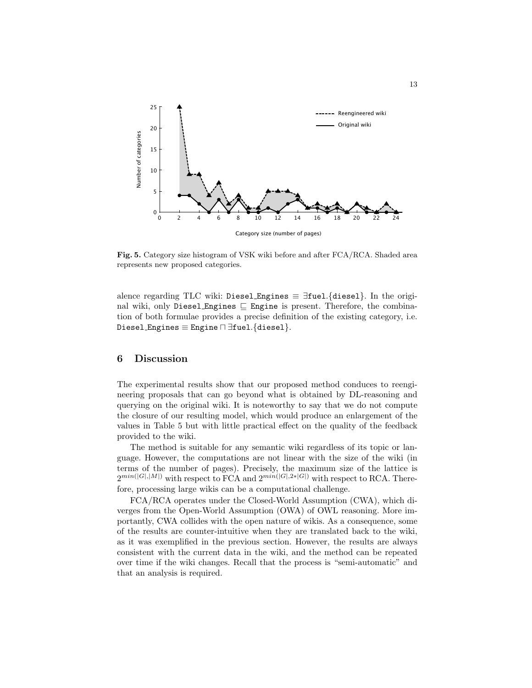

Fig. 5. Category size histogram of VSK wiki before and after FCA/RCA. Shaded area represents new proposed categories.

alence regarding TLC wiki: Diesel Engines  $\equiv \exists$ fuel.{diesel}. In the original wiki, only Diesel Engines ⊑ Engine is present. Therefore, the combination of both formulae provides a precise definition of the existing category, i.e. Diesel Engines ≡ Engine ⊓ ∃fuel.{diesel}.

#### 6 Discussion

The experimental results show that our proposed method conduces to reengineering proposals that can go beyond what is obtained by DL-reasoning and querying on the original wiki. It is noteworthy to say that we do not compute the closure of our resulting model, which would produce an enlargement of the values in Table 5 but with little practical effect on the quality of the feedback provided to the wiki.

The method is suitable for any semantic wiki regardless of its topic or language. However, the computations are not linear with the size of the wiki (in terms of the number of pages). Precisely, the maximum size of the lattice is  $2^{min(|G|,|M|)}$  with respect to FCA and  $2^{min(|G|,2*|G|)}$  with respect to RCA. Therefore, processing large wikis can be a computational challenge.

FCA/RCA operates under the Closed-World Assumption (CWA), which diverges from the Open-World Assumption (OWA) of OWL reasoning. More importantly, CWA collides with the open nature of wikis. As a consequence, some of the results are counter-intuitive when they are translated back to the wiki, as it was exemplified in the previous section. However, the results are always consistent with the current data in the wiki, and the method can be repeated over time if the wiki changes. Recall that the process is "semi-automatic" and that an analysis is required.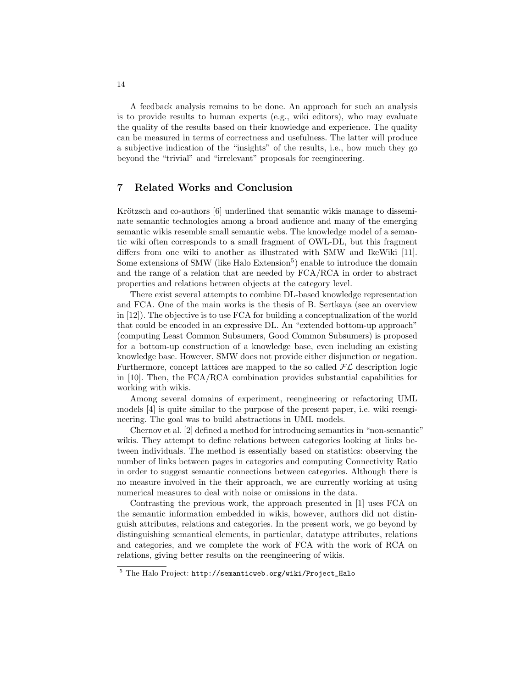A feedback analysis remains to be done. An approach for such an analysis is to provide results to human experts (e.g., wiki editors), who may evaluate the quality of the results based on their knowledge and experience. The quality can be measured in terms of correctness and usefulness. The latter will produce a subjective indication of the "insights" of the results, i.e., how much they go beyond the "trivial" and "irrelevant" proposals for reengineering.

### 7 Related Works and Conclusion

Krötzsch and co-authors [6] underlined that semantic wikis manage to disseminate semantic technologies among a broad audience and many of the emerging semantic wikis resemble small semantic webs. The knowledge model of a semantic wiki often corresponds to a small fragment of OWL-DL, but this fragment differs from one wiki to another as illustrated with SMW and IkeWiki [11]. Some extensions of SMW (like Halo Extension<sup>5</sup>) enable to introduce the domain and the range of a relation that are needed by FCA/RCA in order to abstract properties and relations between objects at the category level.

There exist several attempts to combine DL-based knowledge representation and FCA. One of the main works is the thesis of B. Sertkaya (see an overview in [12]). The objective is to use FCA for building a conceptualization of the world that could be encoded in an expressive DL. An "extended bottom-up approach" (computing Least Common Subsumers, Good Common Subsumers) is proposed for a bottom-up construction of a knowledge base, even including an existing knowledge base. However, SMW does not provide either disjunction or negation. Furthermore, concept lattices are mapped to the so called  $\mathcal{FL}$  description logic in [10]. Then, the FCA/RCA combination provides substantial capabilities for working with wikis.

Among several domains of experiment, reengineering or refactoring UML models [4] is quite similar to the purpose of the present paper, i.e. wiki reengineering. The goal was to build abstractions in UML models.

Chernov et al. [2] defined a method for introducing semantics in "non-semantic" wikis. They attempt to define relations between categories looking at links between individuals. The method is essentially based on statistics: observing the number of links between pages in categories and computing Connectivity Ratio in order to suggest semantic connections between categories. Although there is no measure involved in the their approach, we are currently working at using numerical measures to deal with noise or omissions in the data.

Contrasting the previous work, the approach presented in [1] uses FCA on the semantic information embedded in wikis, however, authors did not distinguish attributes, relations and categories. In the present work, we go beyond by distinguishing semantical elements, in particular, datatype attributes, relations and categories, and we complete the work of FCA with the work of RCA on relations, giving better results on the reengineering of wikis.

<sup>5</sup> The Halo Project: http://semanticweb.org/wiki/Project\_Halo